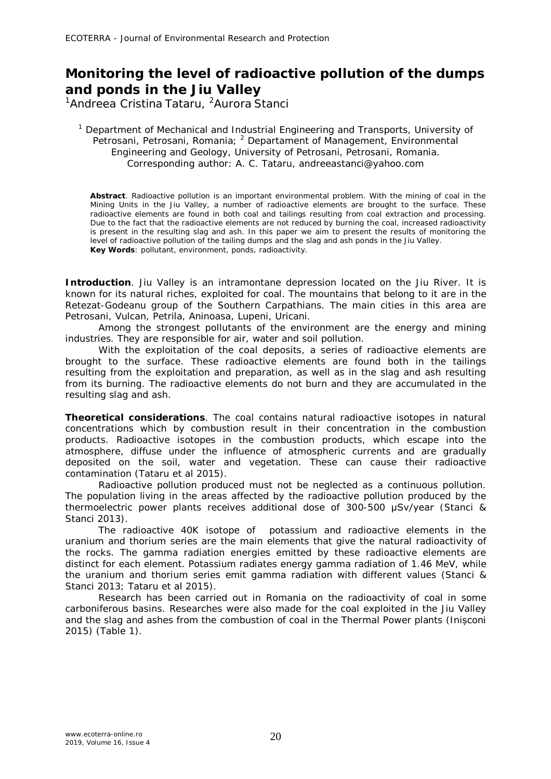## **Monitoring the level of radioactive pollution of the dumps and ponds in the Jiu Valley**

<sup>1</sup>Andreea Cristina Tataru, <sup>2</sup>Aurora Stanci

<sup>1</sup> Department of Mechanical and Industrial Engineering and Transports, University of Petrosani, Petrosani, Romania; <sup>2</sup> Departament of Management, Environmental Engineering and Geology, University of Petrosani, Petrosani, Romania. Corresponding author: A. C. Tataru, andreeastanci@yahoo.com

**Abstract**. Radioactive pollution is an important environmental problem. With the mining of coal in the Mining Units in the Jiu Valley, a number of radioactive elements are brought to the surface. These radioactive elements are found in both coal and tailings resulting from coal extraction and processing. Due to the fact that the radioactive elements are not reduced by burning the coal, increased radioactivity is present in the resulting slag and ash. In this paper we aim to present the results of monitoring the level of radioactive pollution of the tailing dumps and the slag and ash ponds in the Jiu Valley. **Key Words**: pollutant, environment, ponds, radioactivity.

**Introduction**. Jiu Valley is an intramontane depression located on the Jiu River. It is known for its natural riches, exploited for coal. The mountains that belong to it are in the Retezat-Godeanu group of the Southern Carpathians. The main cities in this area are Petrosani, Vulcan, Petrila, Aninoasa, Lupeni, Uricani.

Among the strongest pollutants of the environment are the energy and mining industries. They are responsible for air, water and soil pollution.

With the exploitation of the coal deposits, a series of radioactive elements are brought to the surface. These radioactive elements are found both in the tailings resulting from the exploitation and preparation, as well as in the slag and ash resulting from its burning. The radioactive elements do not burn and they are accumulated in the resulting slag and ash.

**Theoretical considerations**. The coal contains natural radioactive isotopes in natural concentrations which by combustion result in their concentration in the combustion products. Radioactive isotopes in the combustion products, which escape into the atmosphere, diffuse under the influence of atmospheric currents and are gradually deposited on the soil, water and vegetation. These can cause their radioactive contamination (Tataru et al 2015).

Radioactive pollution produced must not be neglected as a continuous pollution. The population living in the areas affected by the radioactive pollution produced by the thermoelectric power plants receives additional dose of 300-500 μSv/year (Stanci & Stanci 2013).

The radioactive 40K isotope of potassium and radioactive elements in the uranium and thorium series are the main elements that give the natural radioactivity of the rocks. The gamma radiation energies emitted by these radioactive elements are distinct for each element. Potassium radiates energy gamma radiation of 1.46 MeV, while the uranium and thorium series emit gamma radiation with different values (Stanci & Stanci 2013; Tataru et al 2015).

Research has been carried out in Romania on the radioactivity of coal in some carboniferous basins. Researches were also made for the coal exploited in the Jiu Valley and the slag and ashes from the combustion of coal in the Thermal Power plants (Inișconi 2015) (Table 1).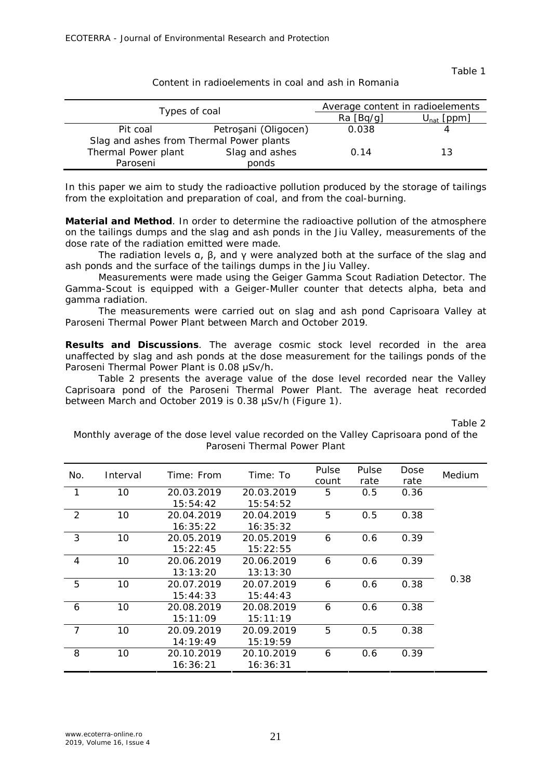Table 1

| Content in radioelements in coal and ash in Romania |  |
|-----------------------------------------------------|--|
|-----------------------------------------------------|--|

|                                          | Average content in radioelements |                 |    |  |
|------------------------------------------|----------------------------------|-----------------|----|--|
| Types of coal                            | Ra [Bq/q]                        | $U_{nat}$ [ppm] |    |  |
| Pit coal                                 | Petroșani (Oligocen)             | 0.038           |    |  |
| Slag and ashes from Thermal Power plants |                                  |                 |    |  |
| Thermal Power plant                      | Slag and ashes                   | 0.14            | 13 |  |
| Paroseni                                 | ponds                            |                 |    |  |

In this paper we aim to study the radioactive pollution produced by the storage of tailings from the exploitation and preparation of coal, and from the coal-burning.

**Material and Method**. In order to determine the radioactive pollution of the atmosphere on the tailings dumps and the slag and ash ponds in the Jiu Valley, measurements of the dose rate of the radiation emitted were made.

The radiation levels  $a, \beta$ , and  $\gamma$  were analyzed both at the surface of the slag and ash ponds and the surface of the tailings dumps in the Jiu Valley.

Measurements were made using the Geiger Gamma Scout Radiation Detector. The Gamma-Scout is equipped with a Geiger-Muller counter that detects alpha, beta and gamma radiation.

The measurements were carried out on slag and ash pond Caprisoara Valley at Paroseni Thermal Power Plant between March and October 2019.

**Results and Discussions**. The average cosmic stock level recorded in the area unaffected by slag and ash ponds at the dose measurement for the tailings ponds of the Paroseni Thermal Power Plant is 0.08 μSv/h.

Table 2 presents the average value of the dose level recorded near the Valley Caprisoara pond of the Paroseni Thermal Power Plant. The average heat recorded between March and October 2019 is 0.38 µSv/h (Figure 1).

Table 2

| Pulse<br>Pulse<br>Dose<br>No.<br>Time: From<br>Time: To<br>Medium<br>Interval<br>rate<br>rate<br>count<br>10<br>1<br>20.03.2019<br>20.03.2019<br>5<br>0.5<br>0.36<br>15:54:42<br>15:54:52<br>2<br>10<br>5<br>0.38<br>0.5<br>20.04.2019<br>20.04.2019<br>16:35:22<br>16:35:32<br>3<br>10<br>0.39<br>6<br>20.05.2019<br>20.05.2019<br>0.6<br>15:22:45<br>15:22:55<br>10<br>0.39<br>$\overline{4}$<br>0.6<br>20.06.2019<br>20.06.2019<br>6<br>13:13:20<br>13:13:30<br>0.38<br>5<br>10<br>0.38<br>20.07.2019<br>20.07.2019<br>0.6<br>6 |  |          |  |  |  |
|------------------------------------------------------------------------------------------------------------------------------------------------------------------------------------------------------------------------------------------------------------------------------------------------------------------------------------------------------------------------------------------------------------------------------------------------------------------------------------------------------------------------------------|--|----------|--|--|--|
|                                                                                                                                                                                                                                                                                                                                                                                                                                                                                                                                    |  |          |  |  |  |
|                                                                                                                                                                                                                                                                                                                                                                                                                                                                                                                                    |  |          |  |  |  |
|                                                                                                                                                                                                                                                                                                                                                                                                                                                                                                                                    |  |          |  |  |  |
|                                                                                                                                                                                                                                                                                                                                                                                                                                                                                                                                    |  |          |  |  |  |
|                                                                                                                                                                                                                                                                                                                                                                                                                                                                                                                                    |  |          |  |  |  |
|                                                                                                                                                                                                                                                                                                                                                                                                                                                                                                                                    |  |          |  |  |  |
|                                                                                                                                                                                                                                                                                                                                                                                                                                                                                                                                    |  |          |  |  |  |
|                                                                                                                                                                                                                                                                                                                                                                                                                                                                                                                                    |  |          |  |  |  |
|                                                                                                                                                                                                                                                                                                                                                                                                                                                                                                                                    |  |          |  |  |  |
|                                                                                                                                                                                                                                                                                                                                                                                                                                                                                                                                    |  |          |  |  |  |
| 15:44:43                                                                                                                                                                                                                                                                                                                                                                                                                                                                                                                           |  | 15:44:33 |  |  |  |
| 10<br>0.38<br>20.08.2019<br>20.08.2019<br>0.6<br>6<br>6                                                                                                                                                                                                                                                                                                                                                                                                                                                                            |  |          |  |  |  |
| 15:11:09<br>15:11:19                                                                                                                                                                                                                                                                                                                                                                                                                                                                                                               |  |          |  |  |  |
| 7<br>10<br>5<br>0.38<br>20.09.2019<br>20.09.2019<br>0.5                                                                                                                                                                                                                                                                                                                                                                                                                                                                            |  |          |  |  |  |
| 14:19:49<br>15:19:59                                                                                                                                                                                                                                                                                                                                                                                                                                                                                                               |  |          |  |  |  |
| 8<br>10<br>0.39<br>20.10.2019<br>20.10.2019<br>6<br>0.6                                                                                                                                                                                                                                                                                                                                                                                                                                                                            |  |          |  |  |  |
| 16:36:21<br>16:36:31                                                                                                                                                                                                                                                                                                                                                                                                                                                                                                               |  |          |  |  |  |

Monthly average of the dose level value recorded on the Valley Caprisoara pond of the Paroseni Thermal Power Plant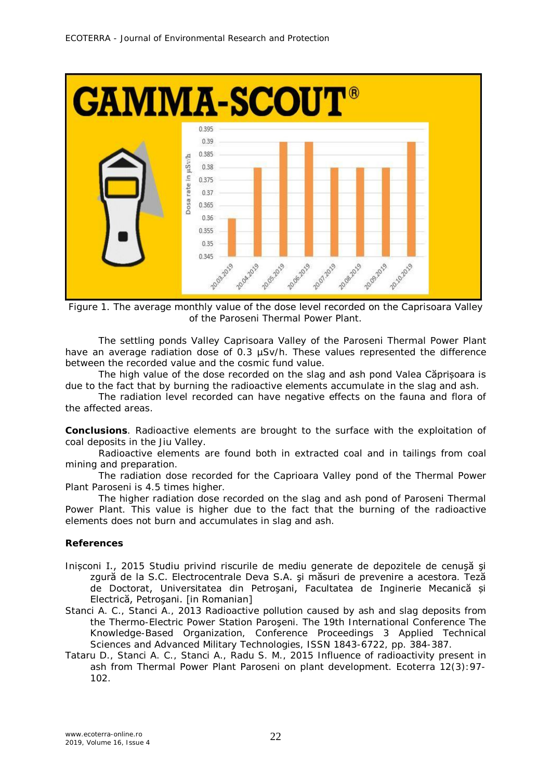

Figure 1. The average monthly value of the dose level recorded on the Caprisoara Valley of the Paroseni Thermal Power Plant.

The settling ponds Valley Caprisoara Valley of the Paroseni Thermal Power Plant have an average radiation dose of 0.3 uSv/h. These values represented the difference between the recorded value and the cosmic fund value.

The high value of the dose recorded on the slag and ash pond Valea Căprișoara is due to the fact that by burning the radioactive elements accumulate in the slag and ash.

The radiation level recorded can have negative effects on the fauna and flora of the affected areas.

**Conclusions**. Radioactive elements are brought to the surface with the exploitation of coal deposits in the Jiu Valley.

Radioactive elements are found both in extracted coal and in tailings from coal mining and preparation.

The radiation dose recorded for the Caprioara Valley pond of the Thermal Power Plant Paroseni is 4.5 times higher.

The higher radiation dose recorded on the slag and ash pond of Paroseni Thermal Power Plant. This value is higher due to the fact that the burning of the radioactive elements does not burn and accumulates in slag and ash.

## **References**

- Inișconi I., 2015 Studiu privind riscurile de mediu generate de depozitele de cenuşă şi zgură de la S.C. Electrocentrale Deva S.A. şi măsuri de prevenire a acestora. Teză de Doctorat, Universitatea din Petroşani, Facultatea de Inginerie Mecanică și Electrică, Petroşani. [in Romanian]
- Stanci A. C., Stanci A., 2013 Radioactive pollution caused by ash and slag deposits from the Thermo-Electric Power Station Paroşeni. The 19th International Conference The Knowledge-Based Organization, Conference Proceedings 3 Applied Technical Sciences and Advanced Military Technologies, ISSN 1843-6722, pp. 384-387.
- Tataru D., Stanci A. C., Stanci A., Radu S. M., 2015 Influence of radioactivity present in ash from Thermal Power Plant Paroseni on plant development. Ecoterra 12(3):97- 102.